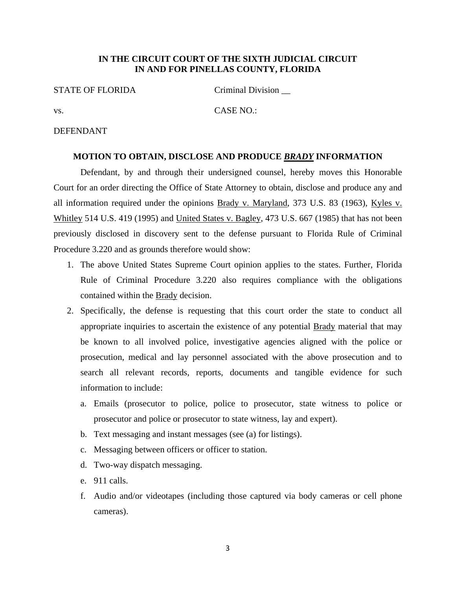### **IN THE CIRCUIT COURT OF THE SIXTH JUDICIAL CIRCUIT IN AND FOR PINELLAS COUNTY, FLORIDA**

### STATE OF FLORIDA Criminal Division

# vs. CASE NO.:

# DEFENDANT

#### **MOTION TO OBTAIN, DISCLOSE AND PRODUCE** *BRADY* **INFORMATION**

Defendant, by and through their undersigned counsel, hereby moves this Honorable Court for an order directing the Office of State Attorney to obtain, disclose and produce any and all information required under the opinions Brady v. Maryland, 373 U.S. 83 (1963), Kyles v. Whitley 514 U.S. 419 (1995) and United States v. Bagley, 473 U.S. 667 (1985) that has not been previously disclosed in discovery sent to the defense pursuant to Florida Rule of Criminal Procedure 3.220 and as grounds therefore would show:

- 1. The above United States Supreme Court opinion applies to the states. Further, Florida Rule of Criminal Procedure 3.220 also requires compliance with the obligations contained within the Brady decision.
- 2. Specifically, the defense is requesting that this court order the state to conduct all appropriate inquiries to ascertain the existence of any potential Brady material that may be known to all involved police, investigative agencies aligned with the police or prosecution, medical and lay personnel associated with the above prosecution and to search all relevant records, reports, documents and tangible evidence for such information to include:
	- a. Emails (prosecutor to police, police to prosecutor, state witness to police or prosecutor and police or prosecutor to state witness, lay and expert).
	- b. Text messaging and instant messages (see (a) for listings).
	- c. Messaging between officers or officer to station.
	- d. Two-way dispatch messaging.
	- e. 911 calls.
	- f. Audio and/or videotapes (including those captured via body cameras or cell phone cameras).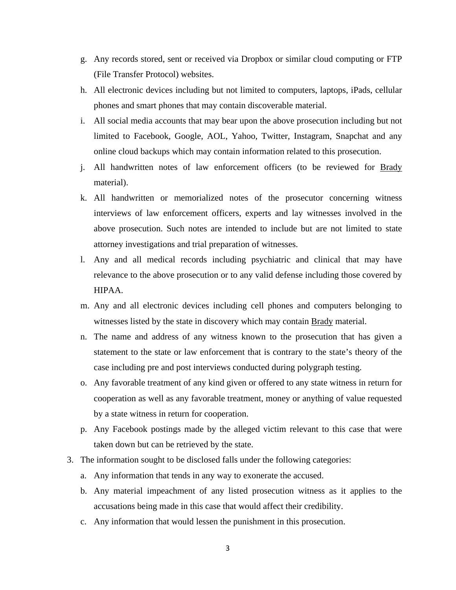- g. Any records stored, sent or received via Dropbox or similar cloud computing or FTP (File Transfer Protocol) websites.
- h. All electronic devices including but not limited to computers, laptops, iPads, cellular phones and smart phones that may contain discoverable material.
- i. All social media accounts that may bear upon the above prosecution including but not limited to Facebook, Google, AOL, Yahoo, Twitter, Instagram, Snapchat and any online cloud backups which may contain information related to this prosecution.
- j. All handwritten notes of law enforcement officers (to be reviewed for Brady material).
- k. All handwritten or memorialized notes of the prosecutor concerning witness interviews of law enforcement officers, experts and lay witnesses involved in the above prosecution. Such notes are intended to include but are not limited to state attorney investigations and trial preparation of witnesses.
- l. Any and all medical records including psychiatric and clinical that may have relevance to the above prosecution or to any valid defense including those covered by HIPAA.
- m. Any and all electronic devices including cell phones and computers belonging to witnesses listed by the state in discovery which may contain Brady material.
- n. The name and address of any witness known to the prosecution that has given a statement to the state or law enforcement that is contrary to the state's theory of the case including pre and post interviews conducted during polygraph testing.
- o. Any favorable treatment of any kind given or offered to any state witness in return for cooperation as well as any favorable treatment, money or anything of value requested by a state witness in return for cooperation.
- p. Any Facebook postings made by the alleged victim relevant to this case that were taken down but can be retrieved by the state.
- 3. The information sought to be disclosed falls under the following categories:
	- a. Any information that tends in any way to exonerate the accused.
	- b. Any material impeachment of any listed prosecution witness as it applies to the accusations being made in this case that would affect their credibility.
	- c. Any information that would lessen the punishment in this prosecution.